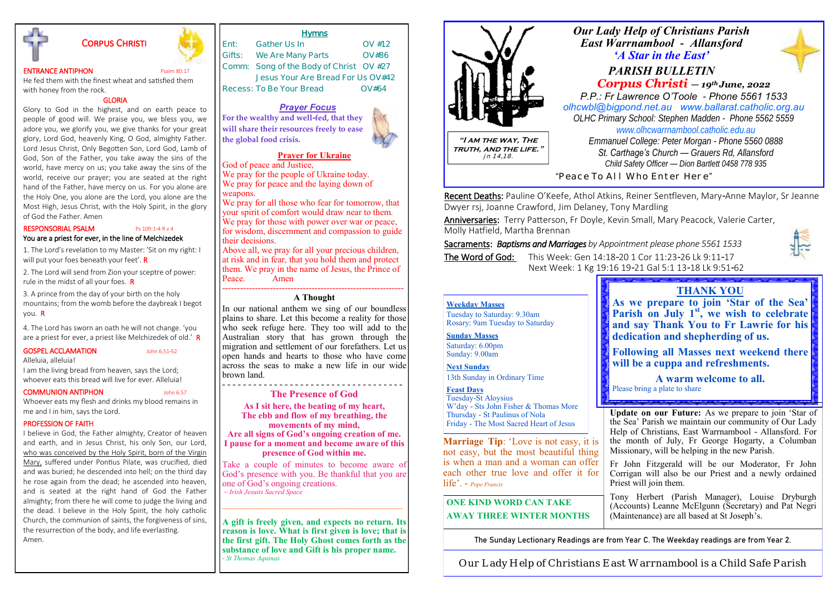

# Corpus Christi

### **ENTRANCE ANTIPHON** Psalm 80:17

He fed them with the finest wheat and satisfied them with honey from the rock.

GLORIA

Glory to God in the highest, and on earth peace to people of good will. We praise you, we bless you, we adore you, we glorify you, we give thanks for your great glory, Lord God, heavenly King, O God, almighty Father. Lord Jesus Christ, Only Begotten Son, Lord God, Lamb of God, Son of the Father, you take away the sins of the world, have mercy on us; you take away the sins of the world, receive our prayer; you are seated at the right hand of the Father, have mercy on us. For you alone are the Holy One, you alone are the Lord, you alone are the Most High, Jesus Christ, with the Holy Spirit, in the glory of God the Father. Amen

### RESPONSORIAL PSALM Ps 109:1-4 R v 4 You are a priest for ever, in the line of Melchizedek

1. The Lord's revelation to my Master: 'Sit on my right: I will put your foes beneath your feet'. R

 2. The Lord will send from Zion your sceptre of power: rule in the midst of all your foes. R

 3. A prince from the day of your birth on the holy mountains; from the womb before the daybreak I begot you. R

4. The Lord has sworn an oath he will not change. 'you are a priest for ever, a priest like Melchizedek of old.' R

### GOSPEL ACCLAMATION John 6:51-52

Alleluia, alleluia!

I am the living bread from heaven, says the Lord; whoever eats this bread will live for ever. Alleluia!

### COMMUNION ANTIPHON John 6:57

Whoever eats my flesh and drinks my blood remains in me and I in him, says the Lord.

### PROFESSION OF FAITH

I believe in God, the Father almighty, Creator of heaven and earth, and in Jesus Christ, his only Son, our Lord, who was conceived by the Holy Spirit, born of the Virgin Mary, suffered under Pontius Pilate, was crucified, died and was buried; he descended into hell; on the third day he rose again from the dead; he ascended into heaven, and is seated at the right hand of God the Father almighty; from there he will come to judge the living and the dead. I believe in the Holy Spirit, the holy catholic Church, the communion of saints, the forgiveness of sins, the resurrection of the body, and life everlasting. Amen.

# **Ent: Gather Us In OV #12**

**Gifts: We Are Many Parts OV#86 Comm: Song of the Body of Christ OV #27 Jesus Your Are Bread For Us OV#42 Recess: To Be Your Bread OV#64** 

**Hymns** 

### *Prayer Focus*

**For the wealthy and well-fed, that they will share their resources freely to ease the global food crisis.**

### **Prayer for Ukraine**

God of peace and Justice, We pray for the people of Ukraine today. We pray for peace and the laying down of weapons.

We pray for all those who fear for tomorrow, that your spirit of comfort would draw near to them. We pray for those with power over war or peace, for wisdom, discernment and compassion to guide their decisions.

Above all, we pray for all your precious children, at risk and in fear, that you hold them and protect them. We pray in the name of Jesus, the Prince of<br>Peace Amen Peace.

### ------------------------------------------------------------- **A Thought**

In our national anthem we sing of our boundless plains to share. Let this become a reality for those who seek refuge here. They too will add to the Australian story that has grown through the migration and settlement of our forefathers. Let us open hands and hearts to those who have come across the seas to make a new life in our wide brown land.

#### - - - - - - - - - - - - - - - - - - - - - - - - - - - - - - - - - - - **The Presence of God**

**As I sit here, the beating of my heart, The ebb and flow of my breathing, the movements of my mind,**

**Are all signs of God's ongoing creation of me. I pause for a moment and become aware of this presence of God within me.**

Take a couple of minutes to become aware of God's presence with you. Be thankful that you are one of God's ongoing creations. *~ Irish Jesuits Sacred Space*

**——————————————————————————**

**A gift is freely given, and expects no return. Its reason is love. What is first given is love; that is the first gift. The Holy Ghost comes forth as the substance of love and Gift is his proper name.** *- St Thomas Aquinas*



Recent Deaths: Pauline O'Keefe, Athol Atkins, Reiner Sentfleven, Mary-Anne Maylor, Sr Jeanne Dwyer rsj, Joanne Crawford, Jim Delaney, Tony Mardling

Anniversaries: Terry Patterson, Fr Doyle, Kevin Small, Mary Peacock, Valerie Carter, Molly Hatfield, Martha Brennan

Sacraments: *Baptisms and Marriages by Appointment please phone 5561 1533*  The Word of God: This Week: Gen 14:18-20 1 Cor 11:23-26 Lk 9:11-17

Next Week: 1 Kg 19:16 19-21 Gal 5:1 13-18 Lk 9:51-62

#### **Weekday Masses**

Tuesday to Saturday: 9.30am Rosary: 9am Tuesday to Saturday

**Sunday Masses**

Saturday: 6.00pm Sunday: 9.00am

**Next Sunday** 

13th Sunday in Ordinary Time

### **Feast Days**

Tuesday-St Aloysius W'day - Sts John Fisher & Thomas More Thursday - St Paulinus of Nola Friday - The Most Sacred Heart of Jesus

**Marriage Tip**: 'Love is not easy, it is not easy, but the most beautiful thing is when a man and a woman can offer each other true love and offer it for life'. - *Pope Francis*

**ONE KIND WORD CAN TAKE AWAY THREE WINTER MONTHS** 

# **THANK YOU**

**As we prepare to join 'Star of the Sea' Parish on July 1st, we wish to celebrate and say Thank You to Fr Lawrie for his dedication and shepherding of us.**

**Following all Masses next weekend there will be a cuppa and refreshments.**

**A warm welcome to all.**

Please bring a plate to share

**Update on our Future:** As we prepare to join 'Star of the Sea' Parish we maintain our community of Our Lady Help of Christians, East Warrnambool - Allansford. For the month of July, Fr George Hogarty, a Columban Missionary, will be helping in the new Parish.

Fr John Fitzgerald will be our Moderator, Fr John Corrigan will also be our Priest and a newly ordained Priest will join them.

Tony Herbert (Parish Manager), Louise Dryburgh (Accounts) Leanne McElgunn (Secretary) and Pat Negri (Maintenance) are all based at St Joseph's.

The Sunday Lectionary Readings are from Year C. The Weekday readings are from Year 2.

Our Lady Help of Christians East Warrnambool is a Child Safe Parish